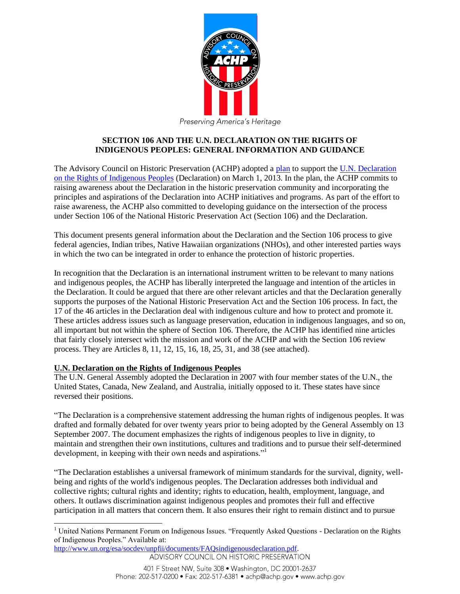

# **SECTION 106 AND THE U.N. DECLARATION ON THE RIGHTS OF INDIGENOUS PEOPLES: GENERAL INFORMATION AND GUIDANCE**

The Advisory Council on Historic Preservation (ACHP) adopted a [plan](http://www.achp.gov/docs/UN%20Declaration%20Plan%203-21-13.pdf) to support the U.N. Declaration [on the Rights of Indigenous Peoples](http://www.achp.gov/docs/UN%20Declaration%20on%20the%20rights%20of%20indigenous%20peoples.pdf) (Declaration) on March 1, 2013. In the plan, the ACHP commits to raising awareness about the Declaration in the historic preservation community and incorporating the principles and aspirations of the Declaration into ACHP initiatives and programs. As part of the effort to raise awareness, the ACHP also committed to developing guidance on the intersection of the process under Section 106 of the National Historic Preservation Act (Section 106) and the Declaration.

This document presents general information about the Declaration and the Section 106 process to give federal agencies, Indian tribes, Native Hawaiian organizations (NHOs), and other interested parties ways in which the two can be integrated in order to enhance the protection of historic properties.

In recognition that the Declaration is an international instrument written to be relevant to many nations and indigenous peoples, the ACHP has liberally interpreted the language and intention of the articles in the Declaration. It could be argued that there are other relevant articles and that the Declaration generally supports the purposes of the National Historic Preservation Act and the Section 106 process. In fact, the 17 of the 46 articles in the Declaration deal with indigenous culture and how to protect and promote it. These articles address issues such as language preservation, education in indigenous languages, and so on, all important but not within the sphere of Section 106. Therefore, the ACHP has identified nine articles that fairly closely intersect with the mission and work of the ACHP and with the Section 106 review process. They are Articles 8, 11, 12, 15, 16, 18, 25, 31, and 38 (see attached).

# **U.N. Declaration on the Rights of Indigenous Peoples**

l

The U.N. General Assembly adopted the Declaration in 2007 with four member states of the U.N., the United States, Canada, New Zealand, and Australia, initially opposed to it. These states have since reversed their positions.

"The Declaration is a comprehensive statement addressing the human rights of indigenous peoples. It was drafted and formally debated for over twenty years prior to being adopted by the General Assembly on 13 September 2007. The document emphasizes the rights of indigenous peoples to live in dignity, to maintain and strengthen their own institutions, cultures and traditions and to pursue their self-determined development, in keeping with their own needs and aspirations."

"The Declaration establishes a universal framework of minimum standards for the survival, dignity, wellbeing and rights of the world's indigenous peoples. The Declaration addresses both individual and collective rights; cultural rights and identity; rights to education, health, employment, language, and others. It outlaws discrimination against indigenous peoples and promotes their full and effective participation in all matters that concern them. It also ensures their right to remain distinct and to pursue

[http://www.un.org/esa/socdev/unpfii/documents/FAQsindigenousdeclaration.pdf.](http://www.un.org/esa/socdev/unpfii/documents/FAQsindigenousdeclaration.pdf) ADVISORY COUNCIL ON HISTORIC PRESERVATION

<sup>&</sup>lt;sup>1</sup> United Nations Permanent Forum on Indigenous Issues. "Frequently Asked Questions - Declaration on the Rights of Indigenous Peoples." Available at: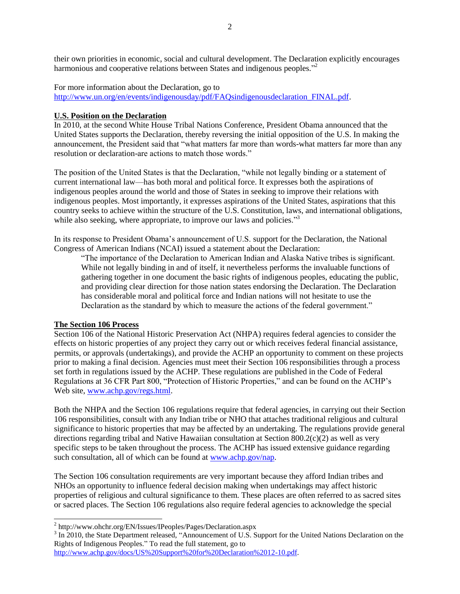their own priorities in economic, social and cultural development. The Declaration explicitly encourages harmonious and cooperative relations between States and indigenous peoples."<sup>2</sup>

For more information about the Declaration, go to [http://www.un.org/en/events/indigenousday/pdf/FAQsindigenousdeclaration\\_FINAL.pdf.](http://www.un.org/en/events/indigenousday/pdf/FAQsindigenousdeclaration_FINAL.pdf)

#### **U.S. Position on the Declaration**

In 2010, at the second White House Tribal Nations Conference, President Obama announced that the United States supports the Declaration, thereby reversing the initial opposition of the U.S. In making the announcement, the President said that "what matters far more than words-what matters far more than any resolution or declaration-are actions to match those words."

The position of the United States is that the Declaration, "while not legally binding or a statement of current international law—has both moral and political force. It expresses both the aspirations of indigenous peoples around the world and those of States in seeking to improve their relations with indigenous peoples. Most importantly, it expresses aspirations of the United States, aspirations that this country seeks to achieve within the structure of the U.S. Constitution, laws, and international obligations, while also seeking, where appropriate, to improve our laws and policies."<sup>3</sup>

In its response to President Obama's announcement of U.S. support for the Declaration, the National Congress of American Indians (NCAI) issued a statement about the Declaration:

"The importance of the Declaration to American Indian and Alaska Native tribes is significant. While not legally binding in and of itself, it nevertheless performs the invaluable functions of gathering together in one document the basic rights of indigenous peoples, educating the public, and providing clear direction for those nation states endorsing the Declaration. The Declaration has considerable moral and political force and Indian nations will not hesitate to use the Declaration as the standard by which to measure the actions of the federal government."

#### **The Section 106 Process**

Section 106 of the National Historic Preservation Act (NHPA) requires federal agencies to consider the effects on historic properties of any project they carry out or which receives federal financial assistance, permits, or approvals (undertakings), and provide the ACHP an opportunity to comment on these projects prior to making a final decision. Agencies must meet their Section 106 responsibilities through a process set forth in regulations issued by the ACHP. These regulations are published in the Code of Federal Regulations at 36 CFR Part 800, "Protection of Historic Properties," and can be found on the ACHP's Web site, [www.achp.gov/regs.html.](http://www.achp.gov/regs.html)

Both the NHPA and the Section 106 regulations require that federal agencies, in carrying out their Section 106 responsibilities, consult with any Indian tribe or NHO that attaches traditional religious and cultural significance to historic properties that may be affected by an undertaking. The regulations provide general directions regarding tribal and Native Hawaiian consultation at Section 800.2(c)(2) as well as very specific steps to be taken throughout the process. The ACHP has issued extensive guidance regarding such consultation, all of which can be found at [www.achp.gov/nap.](http://www.achp.gov/nap)

The Section 106 consultation requirements are very important because they afford Indian tribes and NHOs an opportunity to influence federal decision making when undertakings may affect historic properties of religious and cultural significance to them. These places are often referred to as sacred sites or sacred places. The Section 106 regulations also require federal agencies to acknowledge the special

 2 http://www.ohchr.org/EN/Issues/IPeoples/Pages/Declaration.aspx

<sup>&</sup>lt;sup>3</sup> In 2010, the State Department released, "Announcement of U.S. Support for the United Nations Declaration on the Rights of Indigenous Peoples." To read the full statement, go to

[http://www.achp.gov/docs/US%20Support%20for%20Declaration%2012-10.pdf.](http://www.achp.gov/docs/US%20Support%20for%20Declaration%2012-10.pdf)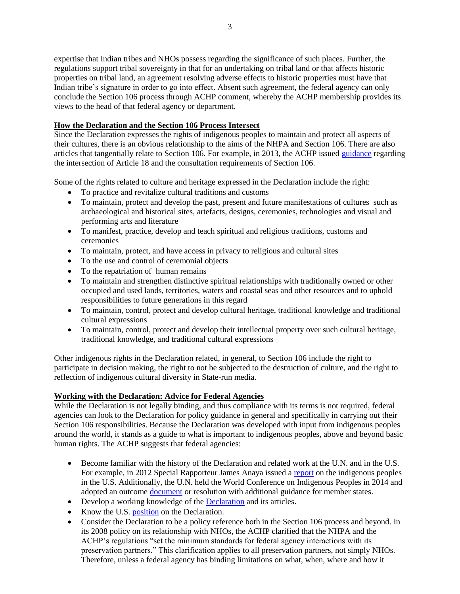expertise that Indian tribes and NHOs possess regarding the significance of such places. Further, the regulations support tribal sovereignty in that for an undertaking on tribal land or that affects historic properties on tribal land, an agreement resolving adverse effects to historic properties must have that Indian tribe's signature in order to go into effect. Absent such agreement, the federal agency can only conclude the Section 106 process through ACHP comment, whereby the ACHP membership provides its views to the head of that federal agency or department.

# **How the Declaration and the Section 106 Process Intersect**

Since the Declaration expresses the rights of indigenous peoples to maintain and protect all aspects of their cultures, there is an obvious relationship to the aims of the NHPA and Section 106. There are also articles that tangentially relate to Section 106. For example, in 2013, the ACHP issued [guidance](http://www.achp.gov/docs/UNDeclaration106.pdf) regarding the intersection of Article 18 and the consultation requirements of Section 106.

Some of the rights related to culture and heritage expressed in the Declaration include the right:

- To practice and revitalize cultural traditions and customs
- To maintain, protect and develop the past, present and future manifestations of cultures such as archaeological and historical sites, artefacts, designs, ceremonies, technologies and visual and performing arts and literature
- To manifest, practice, develop and teach spiritual and religious traditions, customs and ceremonies
- To maintain, protect, and have access in privacy to religious and cultural sites
- To the use and control of ceremonial objects
- To the repatriation of human remains
- To maintain and strengthen distinctive spiritual relationships with traditionally owned or other occupied and used lands, territories, waters and coastal seas and other resources and to uphold responsibilities to future generations in this regard
- To maintain, control, protect and develop cultural heritage, traditional knowledge and traditional cultural expressions
- To maintain, control, protect and develop their intellectual property over such cultural heritage, traditional knowledge, and traditional cultural expressions

Other indigenous rights in the Declaration related, in general, to Section 106 include the right to participate in decision making, the right to not be subjected to the destruction of culture, and the right to reflection of indigenous cultural diversity in State-run media.

# **Working with the Declaration: Advice for Federal Agencies**

While the Declaration is not legally binding, and thus compliance with its terms is not required, federal agencies can look to the Declaration for policy guidance in general and specifically in carrying out their Section 106 responsibilities. Because the Declaration was developed with input from indigenous peoples around the world, it stands as a guide to what is important to indigenous peoples, above and beyond basic human rights. The ACHP suggests that federal agencies:

- Become familiar with the history of the Declaration and related work at the U.N. and in the U.S. For example, in 2012 Special Rapporteur James Anaya issued a [report](http://unsr.jamesanaya.org/country-reports/the-situation-of-indigenous-peoples-in-the-united-states-of-america) on the indigenous peoples in the U.S. Additionally, the U.N. held the World Conference on Indigenous Peoples in 2014 and adopted an outcome [document](http://www.un.org/en/ga/search/view_doc.asp?symbol=A/RES/69/2) or resolution with additional guidance for member states.
- Develop a working knowledge of the [Declaration](http://www.achp.gov/docs/UN%20Declaration%20on%20the%20rights%20of%20indigenous%20peoples.pdf) and its articles.
- Know the U.S. [position](http://www.achp.gov/docs/US%20Support%20for%20Declaration%2012-10.pdf) on the Declaration.
- Consider the Declaration to be a policy reference both in the Section 106 process and beyond. In its 2008 policy on its relationship with NHOs, the ACHP clarified that the NHPA and the ACHP's regulations "set the minimum standards for federal agency interactions with its preservation partners." This clarification applies to all preservation partners, not simply NHOs. Therefore, unless a federal agency has binding limitations on what, when, where and how it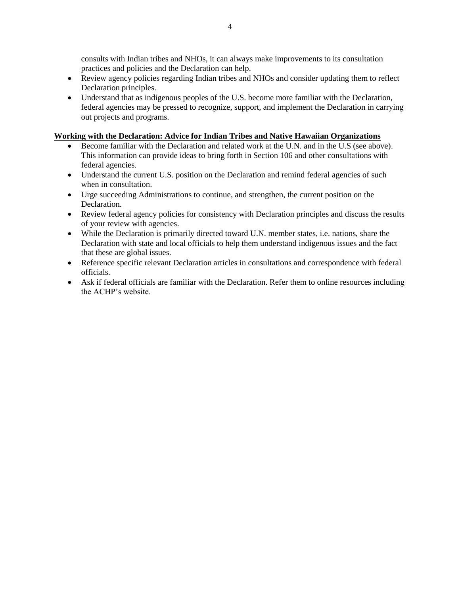consults with Indian tribes and NHOs, it can always make improvements to its consultation practices and policies and the Declaration can help.

- Review agency policies regarding Indian tribes and NHOs and consider updating them to reflect Declaration principles.
- Understand that as indigenous peoples of the U.S. become more familiar with the Declaration, federal agencies may be pressed to recognize, support, and implement the Declaration in carrying out projects and programs.

## **Working with the Declaration: Advice for Indian Tribes and Native Hawaiian Organizations**

- Become familiar with the Declaration and related work at the U.N. and in the U.S (see above). This information can provide ideas to bring forth in Section 106 and other consultations with federal agencies.
- Understand the current U.S. position on the Declaration and remind federal agencies of such when in consultation.
- Urge succeeding Administrations to continue, and strengthen, the current position on the Declaration.
- Review federal agency policies for consistency with Declaration principles and discuss the results of your review with agencies.
- While the Declaration is primarily directed toward U.N. member states, i.e. nations, share the Declaration with state and local officials to help them understand indigenous issues and the fact that these are global issues.
- Reference specific relevant Declaration articles in consultations and correspondence with federal officials.
- Ask if federal officials are familiar with the Declaration. Refer them to online resources including the ACHP's website.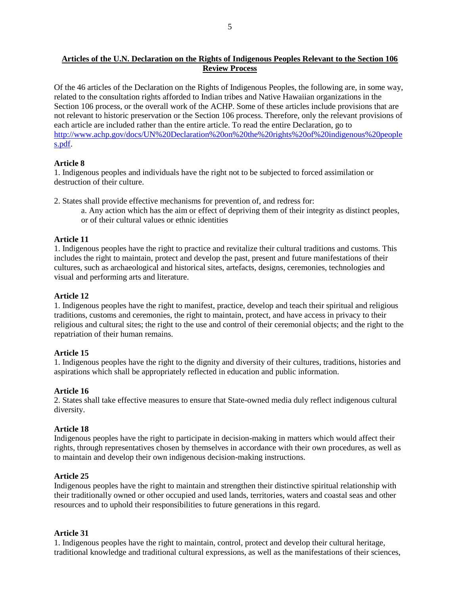# **Articles of the U.N. Declaration on the Rights of Indigenous Peoples Relevant to the Section 106 Review Process**

Of the 46 articles of the Declaration on the Rights of Indigenous Peoples, the following are, in some way, related to the consultation rights afforded to Indian tribes and Native Hawaiian organizations in the Section 106 process, or the overall work of the ACHP. Some of these articles include provisions that are not relevant to historic preservation or the Section 106 process. Therefore, only the relevant provisions of each article are included rather than the entire article. To read the entire Declaration, go to [http://www.achp.gov/docs/UN%20Declaration%20on%20the%20rights%20of%20indigenous%20people](http://www.achp.gov/docs/UN%20Declaration%20on%20the%20rights%20of%20indigenous%20peoples.pdf) [s.pdf.](http://www.achp.gov/docs/UN%20Declaration%20on%20the%20rights%20of%20indigenous%20peoples.pdf)

## **Article 8**

1. Indigenous peoples and individuals have the right not to be subjected to forced assimilation or destruction of their culture.

- 2. States shall provide effective mechanisms for prevention of, and redress for:
	- a. Any action which has the aim or effect of depriving them of their integrity as distinct peoples, or of their cultural values or ethnic identities

## **Article 11**

1. Indigenous peoples have the right to practice and revitalize their cultural traditions and customs. This includes the right to maintain, protect and develop the past, present and future manifestations of their cultures, such as archaeological and historical sites, artefacts, designs, ceremonies, technologies and visual and performing arts and literature.

## **Article 12**

1. Indigenous peoples have the right to manifest, practice, develop and teach their spiritual and religious traditions, customs and ceremonies, the right to maintain, protect, and have access in privacy to their religious and cultural sites; the right to the use and control of their ceremonial objects; and the right to the repatriation of their human remains.

# **Article 15**

1. Indigenous peoples have the right to the dignity and diversity of their cultures, traditions, histories and aspirations which shall be appropriately reflected in education and public information.

### **Article 16**

2. States shall take effective measures to ensure that State-owned media duly reflect indigenous cultural diversity.

### **Article 18**

Indigenous peoples have the right to participate in decision-making in matters which would affect their rights, through representatives chosen by themselves in accordance with their own procedures, as well as to maintain and develop their own indigenous decision-making instructions.

### **Article 25**

Indigenous peoples have the right to maintain and strengthen their distinctive spiritual relationship with their traditionally owned or other occupied and used lands, territories, waters and coastal seas and other resources and to uphold their responsibilities to future generations in this regard.

### **Article 31**

1. Indigenous peoples have the right to maintain, control, protect and develop their cultural heritage, traditional knowledge and traditional cultural expressions, as well as the manifestations of their sciences,